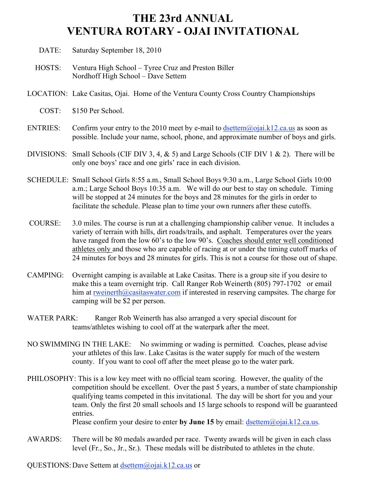## **THE 23rd ANNUAL VENTURA ROTARY - OJAI INVITATIONAL**

- DATE: Saturday September 18, 2010
- HOSTS: Ventura High School Tyree Cruz and Preston Biller Nordhoff High School – Dave Settem
- LOCATION: Lake Casitas, Ojai. Home of the Ventura County Cross Country Championships
	- COST: \$150 Per School.
- ENTRIES: Confirm your entry to the 2010 meet by e-mail to  $d\text{settem}(\partial \text{0})$  and  $k12$  calus as soon as possible. Include your name, school, phone, and approximate number of boys and girls.
- DIVISIONS: Small Schools (CIF DIV 3, 4,  $\&$  5) and Large Schools (CIF DIV 1  $\&$  2). There will be only one boys' race and one girls' race in each division.
- SCHEDULE: Small School Girls 8:55 a.m., Small School Boys 9:30 a.m., Large School Girls 10:00 a.m.; Large School Boys 10:35 a.m. We will do our best to stay on schedule. Timing will be stopped at 24 minutes for the boys and 28 minutes for the girls in order to facilitate the schedule. Please plan to time your own runners after these cutoffs.
- COURSE: 3.0 miles. The course is run at a challenging championship caliber venue. It includes a variety of terrain with hills, dirt roads/trails, and asphalt. Temperatures over the years have ranged from the low 60's to the low 90's. Coaches should enter well conditioned athletes only and those who are capable of racing at or under the timing cutoff marks of 24 minutes for boys and 28 minutes for girls. This is not a course for those out of shape.
- CAMPING: Overnight camping is available at Lake Casitas. There is a group site if you desire to make this a team overnight trip. Call Ranger Rob Weinerth (805) 797-1702 or email him at rweinerth@casitaswater.com if interested in reserving campsites. The charge for camping will be \$2 per person.
- WATER PARK: Ranger Rob Weinerth has also arranged a very special discount for teams/athletes wishing to cool off at the waterpark after the meet.
- NO SWIMMING IN THE LAKE: No swimming or wading is permitted. Coaches, please advise your athletes of this law. Lake Casitas is the water supply for much of the western county. If you want to cool off after the meet please go to the water park.
- PHILOSOPHY: This is a low key meet with no official team scoring. However, the quality of the competition should be excellent. Over the past 5 years, a number of state championship qualifying teams competed in this invitational. The day will be short for you and your team. Only the first 20 small schools and 15 large schools to respond will be guaranteed entries. Please confirm your desire to enter by June 15 by email: dsettem@ojai.k12.ca.us.
- AWARDS: There will be 80 medals awarded per race. Twenty awards will be given in each class level (Fr., So., Jr., Sr.). These medals will be distributed to athletes in the chute.

QUESTIONS:Dave Settem at dsettem@ojai.k12.ca.us or